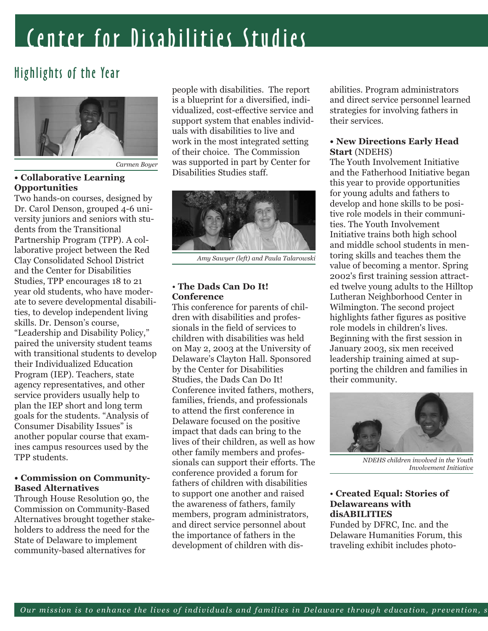## Center for Disabilities Studies

## Highlights of the Year



*Carmen Boyer*

#### **• Collaborative Learning Opportunities**

Two hands-on courses, designed by Dr. Carol Denson, grouped 4-6 university juniors and seniors with students from the Transitional Partnership Program (TPP). A collaborative project between the Red Clay Consolidated School District and the Center for Disabilities Studies, TPP encourages 18 to 21 year old students, who have moderate to severe developmental disabilities, to develop independent living skills. Dr. Denson's course, "Leadership and Disability Policy," paired the university student teams with transitional students to develop their Individualized Education Program (IEP). Teachers, state agency representatives, and other service providers usually help to plan the IEP short and long term goals for the students. "Analysis of Consumer Disability Issues" is another popular course that examines campus resources used by the TPP students.

#### **• Commission on Community-Based Alternatives**

Through House Resolution 90, the Commission on Community-Based Alternatives brought together stakeholders to address the need for the State of Delaware to implement community-based alternatives for

people with disabilities. The report is a blueprint for a diversified, individualized, cost-effective service and support system that enables individuals with disabilities to live and work in the most integrated setting of their choice. The Commission was supported in part by Center for Disabilities Studies staff.



*Amy Sawyer (left) and Paula Talarowski*

#### • **The Dads Can Do It! Conference**

This conference for parents of children with disabilities and professionals in the field of services to children with disabilities was held on May 2, 2003 at the University of Delaware's Clayton Hall. Sponsored by the Center for Disabilities Studies, the Dads Can Do It! Conference invited fathers, mothers, families, friends, and professionals to attend the first conference in Delaware focused on the positive impact that dads can bring to the lives of their children, as well as how other family members and professionals can support their efforts. The conference provided a forum for fathers of children with disabilities to support one another and raised the awareness of fathers, family members, program administrators, and direct service personnel about the importance of fathers in the development of children with disabilities. Program administrators and direct service personnel learned strategies for involving fathers in their services.

#### **• New Directions Early Head Start** (NDEHS)

The Youth Involvement Initiative and the Fatherhood Initiative began this year to provide opportunities for young adults and fathers to develop and hone skills to be positive role models in their communities. The Youth Involvement Initiative trains both high school and middle school students in mentoring skills and teaches them the value of becoming a mentor. Spring 2002's first training session attracted twelve young adults to the Hilltop Lutheran Neighborhood Center in Wilmington. The second project highlights father figures as positive role models in children's lives. Beginning with the first session in January 2003, six men received leadership training aimed at supporting the children and families in their community.



*NDEHS children involved in the Youth Involvement Initiative* 

#### • **Created Equal: Stories of Delawareans with disABILITIES**

Funded by DFRC, Inc. and the Delaware Humanities Forum, this traveling exhibit includes photo-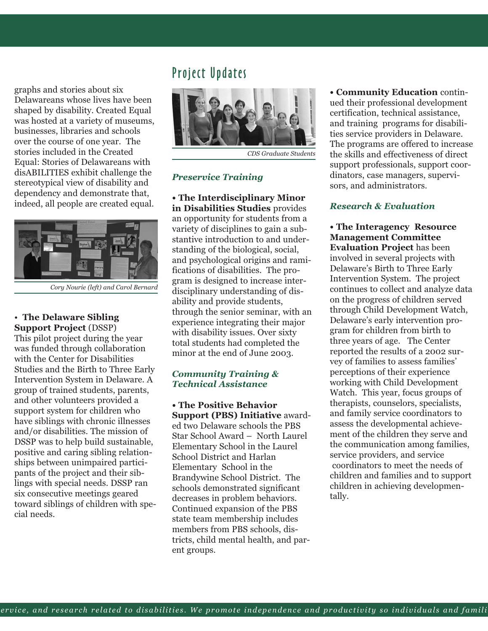graphs and stories about six Delawareans whose lives have been shaped by disability. Created Equal was hosted at a variety of museums, businesses, libraries and schools over the course of one year. The stories included in the Created Equal: Stories of Delawareans with disABILITIES exhibit challenge the stereotypical view of disability and dependency and demonstrate that, indeed, all people are created equal.



*Cory Nourie (left) and Carol Bernard*

#### • **The Delaware Sibling Support Project** (DSSP)

This pilot project during the year was funded through collaboration with the Center for Disabilities Studies and the Birth to Three Early Intervention System in Delaware. A group of trained students, parents, and other volunteers provided a support system for children who have siblings with chronic illnesses and/or disabilities. The mission of DSSP was to help build sustainable, positive and caring sibling relationships between unimpaired participants of the project and their siblings with special needs. DSSP ran six consecutive meetings geared toward siblings of children with special needs.

## Project Updates



*CDS Graduate Students*

#### *Preservice Training*

**• The Interdisciplinary Minor in Disabilities Studies** provides an opportunity for students from a variety of disciplines to gain a substantive introduction to and understanding of the biological, social, and psychological origins and ramifications of disabilities. The program is designed to increase interdisciplinary understanding of disability and provide students, through the senior seminar, with an experience integrating their major with disability issues. Over sixty total students had completed the minor at the end of June 2003.

#### *Community Training & Technical Assistance*

**• The Positive Behavior Support (PBS) Initiative** awarded two Delaware schools the PBS Star School Award – North Laurel Elementary School in the Laurel School District and Harlan Elementary School in the Brandywine School District. The schools demonstrated significant decreases in problem behaviors. Continued expansion of the PBS state team membership includes members from PBS schools, districts, child mental health, and parent groups.

**• Community Education** continued their professional development certification, technical assistance, and training programs for disabilities service providers in Delaware. The programs are offered to increase the skills and effectiveness of direct support professionals, support coordinators, case managers, supervisors, and administrators.

#### *Research & Evaluation*

**• The Interagency Resource Management Committee Evaluation Project** has been involved in several projects with Delaware's Birth to Three Early Intervention System. The project continues to collect and analyze data on the progress of children served through Child Development Watch, Delaware's early intervention program for children from birth to three years of age. The Center reported the results of a 2002 survey of families to assess families' perceptions of their experience working with Child Development Watch. This year, focus groups of therapists, counselors, specialists, and family service coordinators to assess the developmental achievement of the children they serve and the communication among families, service providers, and service coordinators to meet the needs of children and families and to support children in achieving developmentally.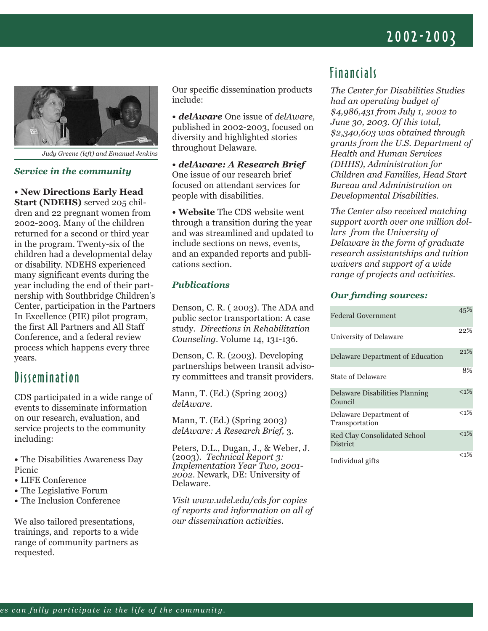## 2002-2003



*Judy Greene (left) and Emanuel Jenkins*

#### *Service in the community*

**• New Directions Early Head Start (NDEHS)** served 205 children and 22 pregnant women from 2002-2003. Many of the children returned for a second or third year in the program. Twenty-six of the children had a developmental delay or disability. NDEHS experienced many significant events during the year including the end of their partnership with Southbridge Children's Center, participation in the Partners In Excellence (PIE) pilot program, the first All Partners and All Staff Conference, and a federal review process which happens every three years.

### **Dissemination**

CDS participated in a wide range of events to disseminate information on our research, evaluation, and service projects to the community including:

- The Disabilities Awareness Day Picnic
- LIFE Conference
- The Legislative Forum
- The Inclusion Conference

We also tailored presentations, trainings, and reports to a wide range of community partners as requested.

Our specific dissemination products include:

**•** *delAware* One issue of *delAware,* published in 2002-2003, focused on diversity and highlighted stories throughout Delaware.

**•** *delAware: A Research Brief* One issue of our research brief focused on attendant services for people with disabilities.

**• Website** The CDS website went through a transition during the year and was streamlined and updated to include sections on news, events, and an expanded reports and publications section.

#### *Publications*

Denson, C. R. ( 2003). The ADA and public sector transportation: A case study. *Directions in Rehabilitation Counseling.* Volume 14, 131-136.

Denson, C. R. (2003). Developing partnerships between transit advisory committees and transit providers.

Mann, T. (Ed.) (Spring 2003) *delAware.*

Mann, T. (Ed.) (Spring 2003) *delAware: A Research Brief,* 3*.*

Peters, D.L., Dugan, J., & Weber, J. (2003). *Technical Report 3: Implementation Year Two, 2001- 2002*. Newark, DE: University of Delaware.

*Visit www.udel.edu/cds for copies of reports and information on all of our dissemination activities.* 

## Financials

*The Center for Disabilities Studies had an operating budget of \$4,986,431 from July 1, 2002 to June 30, 2003. Of this total, \$2,340,603 was obtained through grants from the U.S. Department of Health and Human Services (DHHS), Administration for Children and Families, Head Start Bureau and Administration on Developmental Disabilities.* 

*The Center also received matching support worth over one million dollars from the University of Delaware in the form of graduate research assistantships and tuition waivers and support of a wide range of projects and activities.* 

#### *Our funding sources:*

| Federal Government                              | 45%     |
|-------------------------------------------------|---------|
| University of Delaware                          | 22%     |
| Delaware Department of Education                | 21%     |
| State of Delaware                               | 8%      |
| Delaware Disabilities Planning<br>Council       | $< 1\%$ |
| Delaware Department of<br>Transportation        | $< 1\%$ |
| <b>Red Clay Consolidated School</b><br>District | $1\%$   |
| Individual gifts                                | $< 1\%$ |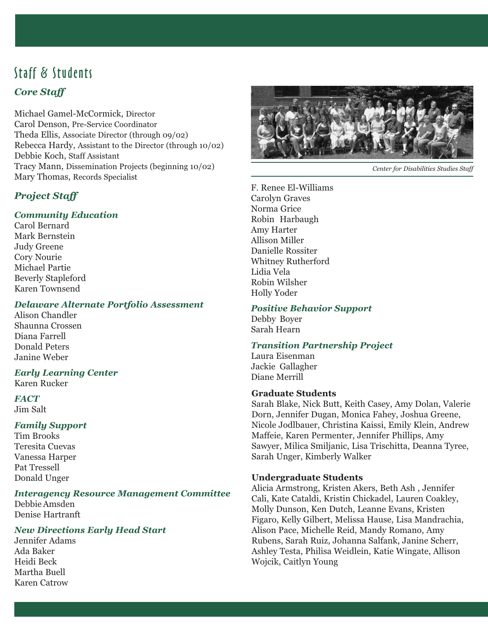## Staff & Students *Core Staff*

Michael Gamel-McCormick, Director Carol Denson, Pre-Service Coordinator Theda Ellis, Associate Director (through 09/02) Rebecca Hardy, Assistant to the Director (through 10/02) Debbie Koch, Staff Assistant Tracy Mann, Dissemination Projects (beginning 10/02) Mary Thomas, Records Specialist

#### *Project Staff*

#### *Community Education*

Carol Bernard Mark Bernstein Judy Greene Cory Nourie Michael Partie Beverly Stapleford Karen Townsend

#### *Delaware Alternate Portfolio Assessment*

Alison Chandler Shaunna Crossen Diana Farrell Donald Peters Janine Weber

#### *Early Learning Center*

Karen Rucker

#### *FACT*

Jim Salt

#### *Family Support*

Tim Brooks Teresita Cuevas Vanessa Harper Pat Tressell Donald Unger

#### *Interagency Resource Management Committee*

Debbie Amsden Denise Hartranft

#### *New Directions Early Head Start*

Jennifer Adams Ada Baker Heidi Beck Martha Buell Karen Catrow



*Center for Disabilities Studies Staff*

F. Renee El-Williams Carolyn Graves Norma Grice Robin Harbaugh Amy Harter Allison Miller Danielle Rossiter Whitney Rutherford Lidia Vela Robin Wilsher Holly Yoder

#### *Positive Behavior Support*

Debby Boyer Sarah Hearn

#### *Transition Partnership Project*

Laura Eisenman Jackie Gallagher Diane Merrill

#### **Graduate Students**

Sarah Blake, Nick Butt, Keith Casey, Amy Dolan, Valerie Dorn, Jennifer Dugan, Monica Fahey, Joshua Greene, Nicole Jodlbauer, Christina Kaissi, Emily Klein, Andrew Maffeie, Karen Permenter, Jennifer Phillips, Amy Sawyer, Milica Smiljanic, Lisa Trischitta, Deanna Tyree, Sarah Unger, Kimberly Walker

#### **Undergraduate Students**

Alicia Armstrong, Kristen Akers, Beth Ash , Jennifer Cali, Kate Cataldi, Kristin Chickadel, Lauren Coakley, Molly Dunson, Ken Dutch, Leanne Evans, Kristen Figaro, Kelly Gilbert, Melissa Hause, Lisa Mandrachia, Alison Pace, Michelle Reid, Mandy Romano, Amy Rubens, Sarah Ruiz, Johanna Salfank, Janine Scherr, Ashley Testa, Philisa Weidlein, Katie Wingate, Allison Wojcik, Caitlyn Young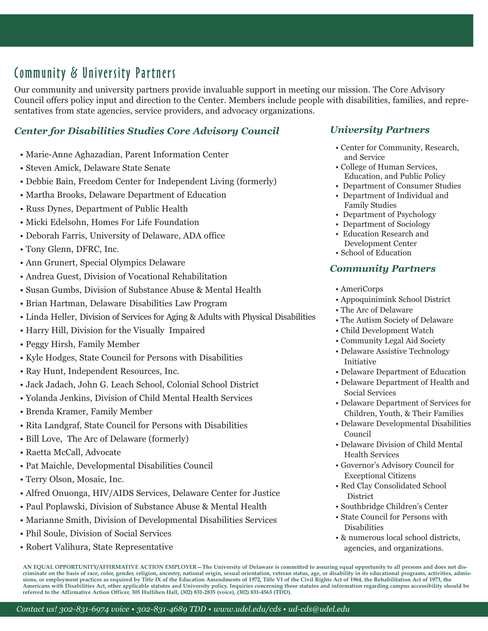## Community & University Partners

Our community and university partners provide invaluable support in meeting our mission. The Core Advisory Council offers policy input and direction to the Center. Members include people with disabilities, families, and representatives from state agencies, service providers, and advocacy organizations.

#### *Center for Disabilities Studies Core Advisory Council*

- Marie-Anne Aghazadian, Parent Information Center
- Steven Amick, Delaware State Senate
- Debbie Bain, Freedom Center for Independent Living (formerly)
- Martha Brooks, Delaware Department of Education
- Russ Dynes, Department of Public Health
- Micki Edelsohn, Homes For Life Foundation
- Deborah Farris, University of Delaware, ADA office
- Tony Glenn, DFRC, Inc.
- Ann Grunert, Special Olympics Delaware
- Andrea Guest, Division of Vocational Rehabilitation
- Susan Gumbs, Division of Substance Abuse & Mental Health
- Brian Hartman, Delaware Disabilities Law Program
- Linda Heller, Division of Services for Aging & Adults with Physical Disabilities
- Harry Hill, Division for the Visually Impaired
- Peggy Hirsh, Family Member
- Kyle Hodges, State Council for Persons with Disabilities
- Ray Hunt, Independent Resources, Inc.
- Jack Jadach, John G. Leach School, Colonial School District
- Yolanda Jenkins, Division of Child Mental Health Services
- Brenda Kramer, Family Member
- Rita Landgraf, State Council for Persons with Disabilities
- Bill Love, The Arc of Delaware (formerly)
- Raetta McCall, Advocate
- Pat Maichle, Developmental Disabilities Council
- Terry Olson, Mosaic, Inc.
- Alfred Onuonga, HIV/AIDS Services, Delaware Center for Justice
- Paul Poplawski, Division of Substance Abuse & Mental Health
- Marianne Smith, Division of Developmental Disabilities Services
- Phil Soule, Division of Social Services
- Robert Valihura, State Representative

#### *University Partners*

- Center for Community, Research, and Service
- College of Human Services, Education, and Public Policy
- Department of Consumer Studies
- Department of Individual and Family Studies
- Department of Psychology
- Department of Sociology
- Education Research and Development Center
- School of Education

#### *Community Partners*

- AmeriCorps
- Appoquinimink School District
- The Arc of Delaware
- The Autism Society of Delaware
- Child Development Watch
- Community Legal Aid Society
- Delaware Assistive Technology Initiative
- Delaware Department of Education
- Delaware Department of Health and Social Services
- Delaware Department of Services for Children, Youth, & Their Families
- Delaware Developmental Disabilities Council
- Delaware Division of Child Mental Health Services
- Governor's Advisory Council for Exceptional Citizens
- Red Clay Consolidated School **District**
- Southbridge Children's Center
- State Council for Persons with Disabilities
- & numerous local school districts, agencies, and organizations.

**AN EQUAL OPPORTUNITY/AFFIRMATIVE ACTION EMPLOYER—The University of Delaware is committed to assuring equal opportunity to all persons and does not discriminate on the basis of race, color, gender, religion, ancestry, national origin, sexual orientation, veteran status, age, or disability in its educational programs, activities, admissions, or employment practices as required by Title IX of the Education Amendments of 1972, Title VI of the Civil Rights Act of 1964, the Rehabilitation Act of 1973, the Americans with Disabilities Act, other applicable statutes and University policy. Inquiries concerning these statutes and information regarding campus accessibility should be referred to the Affirmative Action Officer, 305 Hullihen Hall, (302) 831-2835 (voice), (302) 831-4563 (TDD).**